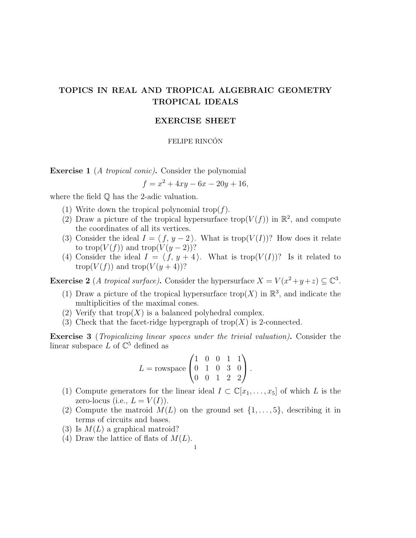# TOPICS IN REAL AND TROPICAL ALGEBRAIC GEOMETRY TROPICAL IDEALS

## EXERCISE SHEET

## FELIPE RINCÓN

**Exercise 1** (A tropical conic). Consider the polynomial

$$
f = x^2 + 4xy - 6x - 20y + 16,
$$

where the field Q has the 2-adic valuation.

- (1) Write down the tropical polynomial trop( $f$ ).
- (2) Draw a picture of the tropical hypersurface trop( $V(f)$ ) in  $\mathbb{R}^2$ , and compute the coordinates of all its vertices.
- (3) Consider the ideal  $I = \langle f, y 2 \rangle$ . What is trop( $V(I)$ )? How does it relate to trop( $V(f)$ ) and trop( $V(y-2)$ )?
- (4) Consider the ideal  $I = \langle f, y + 4 \rangle$ . What is trop $(V(I))$ ? Is it related to trop( $V(f)$ ) and trop( $V(y+4)$ )?

**Exercise 2** (A tropical surface). Consider the hypersurface  $X = V(x^2 + y + z) \subseteq \mathbb{C}^3$ .

- (1) Draw a picture of the tropical hypersurface trop(X) in  $\mathbb{R}^3$ , and indicate the multiplicities of the maximal cones.
- (2) Verify that trop $(X)$  is a balanced polyhedral complex.
- (3) Check that the facet-ridge hypergraph of  $\text{trop}(X)$  is 2-connected.

Exercise 3 (Tropicalizing linear spaces under the trivial valuation). Consider the linear subspace  $L$  of  $\mathbb{C}^5$  defined as

$$
L = \text{rowspace} \begin{pmatrix} 1 & 0 & 0 & 1 & 1 \\ 0 & 1 & 0 & 3 & 0 \\ 0 & 0 & 1 & 2 & 2 \end{pmatrix}.
$$

- (1) Compute generators for the linear ideal  $I \subset \mathbb{C}[x_1,\ldots,x_5]$  of which L is the zero-locus (i.e.,  $L = V(I)$ ).
- (2) Compute the matroid  $M(L)$  on the ground set  $\{1, \ldots, 5\}$ , describing it in terms of circuits and bases.
- (3) Is  $M(L)$  a graphical matroid?
- (4) Draw the lattice of flats of  $M(L)$ .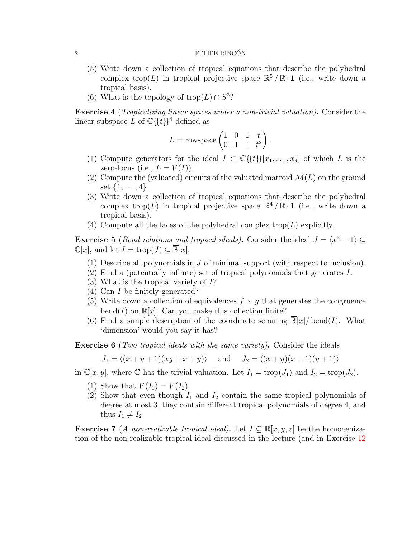#### 2 FELIPE RINCÓN

- (5) Write down a collection of tropical equations that describe the polyhedral complex trop(L) in tropical projective space  $\mathbb{R}^5/\mathbb{R} \cdot 1$  (i.e., write down a tropical basis).
- (6) What is the topology of trop( $L$ ) ∩  $S^3$ ?

Exercise 4 (Tropicalizing linear spaces under a non-trivial valuation). Consider the linear subspace L of  $\mathbb{C}\{\{t\}\}^4$  defined as

$$
L = \text{rowspace} \begin{pmatrix} 1 & 0 & 1 & t \\ 0 & 1 & 1 & t^2 \end{pmatrix}.
$$

- (1) Compute generators for the ideal  $I \subset \mathbb{C}\{\{t\}\}[x_1,\ldots,x_4]$  of which L is the zero-locus (i.e.,  $L = V(I)$ ).
- (2) Compute the (valuated) circuits of the valuated matroid  $\mathcal{M}(L)$  on the ground set  $\{1, \ldots, 4\}.$
- (3) Write down a collection of tropical equations that describe the polyhedral complex trop(L) in tropical projective space  $\mathbb{R}^4/\mathbb{R} \cdot \mathbf{1}$  (i.e., write down a tropical basis).
- (4) Compute all the faces of the polyhedral complex trop( $L$ ) explicitly.

**Exercise 5** (*Bend relations and tropical ideals*). Consider the ideal  $J = \langle x^2 - 1 \rangle \subseteq$  $\mathbb{C}[x]$ , and let  $I = \text{trop}(J) \subseteq \overline{\mathbb{R}}[x]$ .

- (1) Describe all polynomials in  $J$  of minimal support (with respect to inclusion).
- (2) Find a (potentially infinite) set of tropical polynomials that generates I.
- (3) What is the tropical variety of I?
- (4) Can I be finitely generated?
- (5) Write down a collection of equivalences  $f \sim g$  that generates the congruence bend(I) on  $\overline{\mathbb{R}}[x]$ . Can you make this collection finite?
- (6) Find a simple description of the coordinate semiring  $\mathbb{R}[x]/\text{ bend}(I)$ . What 'dimension' would you say it has?

**Exercise 6** (*Two tropical ideals with the same variety*). Consider the ideals

$$
J_1 = \langle (x+y+1)(xy+x+y) \rangle \quad \text{and} \quad J_2 = \langle (x+y)(x+1)(y+1) \rangle
$$

in  $\mathbb{C}[x, y]$ , where  $\mathbb C$  has the trivial valuation. Let  $I_1 = \text{trop}(J_1)$  and  $I_2 = \text{trop}(J_2)$ .

- (1) Show that  $V(I_1) = V(I_2)$ .
- (2) Show that even though  $I_1$  and  $I_2$  contain the same tropical polynomials of degree at most 3, they contain different tropical polynomials of degree 4, and thus  $I_1 \neq I_2$ .

**Exercise 7** (A non-realizable tropical ideal). Let  $I \subseteq \overline{\mathbb{R}}[x, y, z]$  be the homogenization of the non-realizable tropical ideal discussed in the lecture (and in Exercise [12](#page-3-0)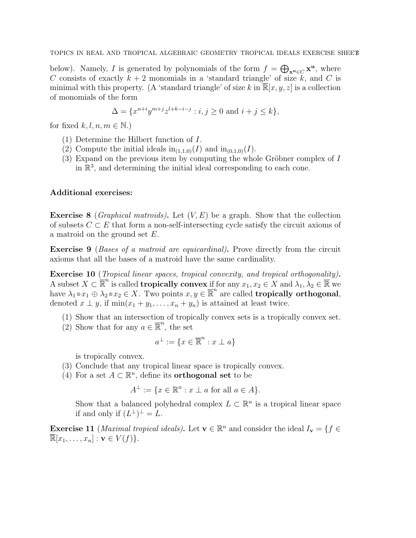below). Namely, I is generated by polynomials of the form  $f = \bigoplus_{\mathbf{x}^{\mathbf{u}} \in C} \mathbf{x}^{\mathbf{u}}$ , where C consists of exactly  $k + 2$  monomials in a 'standard triangle' of size k, and C is minimal with this property. (A 'standard triangle' of size k in  $\mathbb{R}[x, y, z]$  is a collection of monomials of the form

$$
\Delta = \{x^{n+i}y^{m+j}z^{l+k-i-j} : i, j \ge 0 \text{ and } i+j \le k\},\
$$

for fixed  $k, l, n, m \in \mathbb{N}$ .)

- (1) Determine the Hilbert function of I.
- (2) Compute the initial ideals  $\text{in}_{(1,1,0)}(I)$  and  $\text{in}_{(0,1,0)}(I)$ .
- (3) Expand on the previous item by computing the whole Gröbner complex of  $I$ in  $\mathbb{R}^3$ , and determining the initial ideal corresponding to each cone.

## Additional exercises:

**Exercise 8** (*Graphical matroids*). Let  $(V, E)$  be a graph. Show that the collection of subsets  $C \subset E$  that form a non-self-intersecting cycle satisfy the circuit axioms of a matroid on the ground set E.

Exercise 9 (Bases of a matroid are equicardinal). Prove directly from the circuit axioms that all the bases of a matroid have the same cardinality.

Exercise 10 (Tropical linear spaces, tropical convexity, and tropical orthogonality). A subset  $X \subset \mathbb{R}^n$  is called **tropically convex** if for any  $x_1, x_2 \in X$  and  $\lambda_1, \lambda_2 \in \mathbb{R}$  we have  $\lambda_1 \circ x_1 \oplus \lambda_2 \circ x_2 \in X$ . Two points  $x, y \in \overline{\mathbb{R}}^n$  are called **tropically orthogonal**, denoted  $x \perp y$ , if  $\min(x_1 + y_1, \ldots, x_n + y_n)$  is attained at least twice.

- (1) Show that an intersection of tropically convex sets is a tropically convex set.
- (2) Show that for any  $a \in \overline{\mathbb{R}}^n$ , the set

$$
a^{\perp} := \{ x \in \overline{\mathbb{R}}^n : x \perp a \}
$$

is tropically convex.

- (3) Conclude that any tropical linear space is tropically convex.
- (4) For a set  $A \subset \mathbb{R}^n$ , define its **orthogonal set** to be

$$
A^{\perp} := \{ x \in \mathbb{R}^n : x \perp a \text{ for all } a \in A \}.
$$

Show that a balanced polyhedral complex  $L \subset \mathbb{R}^n$  is a tropical linear space if and only if  $(L^{\perp})^{\perp} = L$ .

<span id="page-2-0"></span>**Exercise 11** (*Maximal tropical ideals*). Let  $\mathbf{v} \in \mathbb{R}^n$  and consider the ideal  $I_{\mathbf{v}} = \{f \in I\}$  $\overline{\mathbb{R}}[x_1,\ldots,x_n]:\mathbf{v}\in V(f)\}.$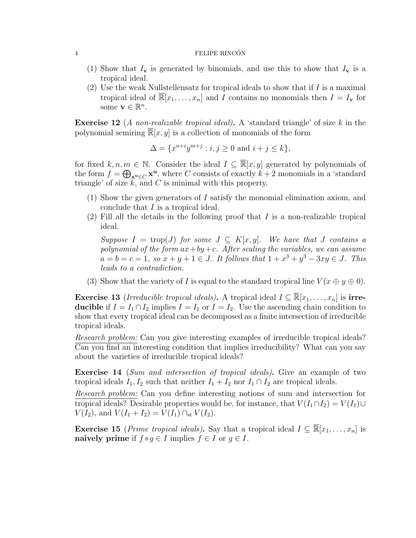#### 4 **FELIPE RINCÓN**

- (1) Show that  $I_{\mathbf{v}}$  is generated by binomials, and use this to show that  $I_{\mathbf{v}}$  is a tropical ideal.
- (2) Use the weak Nullstellensatz for tropical ideals to show that if  $I$  is a maximal tropical ideal of  $\overline{\mathbb{R}}[x_1,\ldots,x_n]$  and I contains no monomials then  $I = I_{\mathbf{v}}$  for some  $\mathbf{v} \in \mathbb{R}^n$ .

<span id="page-3-0"></span>**Exercise 12** (A non-realizable tropical ideal). A 'standard triangle' of size  $k$  in the polynomial semiring  $\overline{\mathbb{R}}[x, y]$  is a collection of monomials of the form

$$
\Delta = \{x^{n+i}y^{m+j} : i, j \ge 0 \text{ and } i+j \le k\},\
$$

for fixed k, n, m e N. Consider the ideal  $I \subseteq \overline{\mathbb{R}}[x, y]$  generated by polynomials of the form  $f = \bigoplus_{\mathbf{x}^{\mathbf{u}} \in C} \mathbf{x}^{\mathbf{u}}$ , where C consists of exactly  $k + 2$  monomials in a 'standard triangle' of size  $k$ , and  $C$  is minimal with this property.

- (1) Show the given generators of I satisfy the monomial elimination axiom, and conclude that I is a tropical ideal.
- $(2)$  Fill all the details in the following proof that I is a non-realizable tropical ideal.

Suppose  $I = \text{trop}(J)$  for some  $J \subseteq K[x, y]$ . We have that J contains a polynomial of the form  $ax+by+c$ . After scaling the variables, we can assume  $a = b = c = 1$ , so  $x + y + 1 \in J$ . It follows that  $1 + x^3 + y^3 - 3xy \in J$ . This leads to a contradiction.

(3) Show that the variety of I is equal to the standard tropical line  $V(x \oplus y \oplus 0)$ .

**Exercise 13** (Irreducible tropical ideals). A tropical ideal  $I \subseteq \mathbb{R}[x_1,\ldots,x_n]$  is irreducible if  $I = I_1 \cap I_2$  implies  $I = I_1$  or  $I = I_2$ . Use the ascending chain condition to show that every tropical ideal can be decomposed as a finite intersection of irreducible tropical ideals.

Research problem: Can you give interesting examples of irreducible tropical ideals? Can you find an interesting condition that implies irreducibility? What can you say about the varieties of irreducible tropical ideals?

**Exercise 14** (Sum and intersection of tropical ideals). Give an example of two tropical ideals  $I_1, I_2$  such that neither  $I_1 + I_2$  nor  $I_1 \cap I_2$  are tropical ideals.

Research problem: Can you define interesting notions of sum and intersection for tropical ideals? Desirable properties would be, for instance, that  $V(I_1 \cap I_2) = V(I_1) \cup$  $V(I_2)$ , and  $V(I_1 + I_2) = V(I_1) \cap_{st} V(I_2)$ .

**Exercise 15** (*Prime tropical ideals*). Say that a tropical ideal  $I \subseteq \overline{\mathbb{R}}[x_1, \ldots, x_n]$  is naively prime if  $f \circ g \in I$  implies  $f \in I$  or  $g \in I$ .